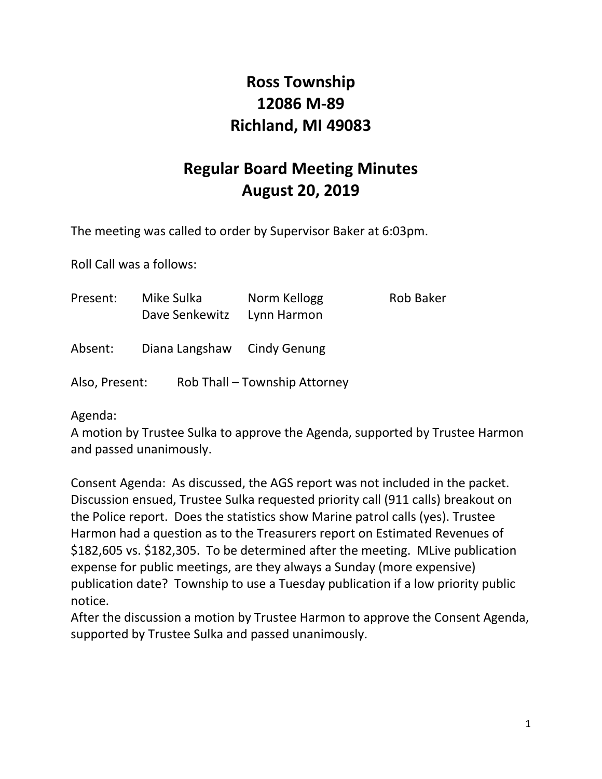## **Ross Township 12086 M-89 Richland, MI 49083**

# **Regular Board Meeting Minutes August 20, 2019**

The meeting was called to order by Supervisor Baker at 6:03pm.

Roll Call was a follows:

| Present:       | Mike Sulka<br>Dave Senkewitz | Norm Kellogg<br>Lynn Harmon   | Rob Baker |
|----------------|------------------------------|-------------------------------|-----------|
| Absent:        | Diana Langshaw Cindy Genung  |                               |           |
| Also, Present: |                              | Rob Thall - Township Attorney |           |

Agenda:

A motion by Trustee Sulka to approve the Agenda, supported by Trustee Harmon and passed unanimously.

Consent Agenda: As discussed, the AGS report was not included in the packet. Discussion ensued, Trustee Sulka requested priority call (911 calls) breakout on the Police report. Does the statistics show Marine patrol calls (yes). Trustee Harmon had a question as to the Treasurers report on Estimated Revenues of \$182,605 vs. \$182,305. To be determined after the meeting. MLive publication expense for public meetings, are they always a Sunday (more expensive) publication date? Township to use a Tuesday publication if a low priority public notice.

After the discussion a motion by Trustee Harmon to approve the Consent Agenda, supported by Trustee Sulka and passed unanimously.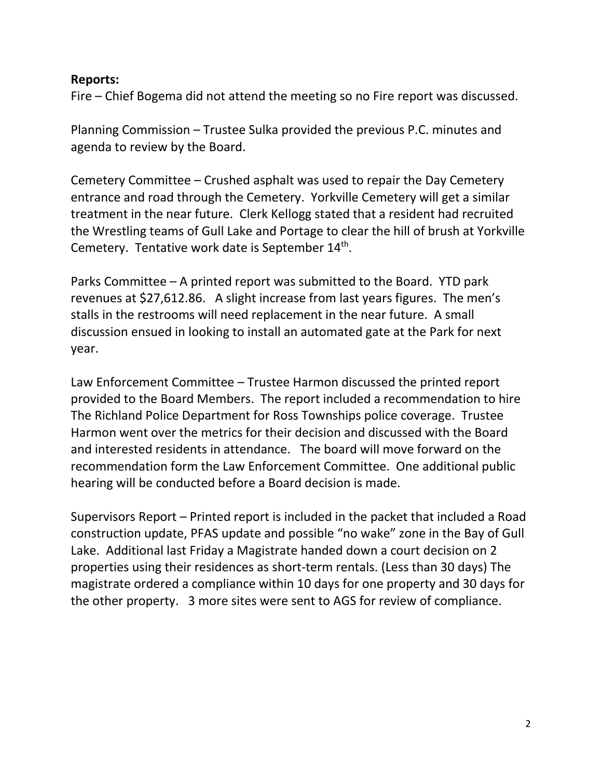#### **Reports:**

Fire – Chief Bogema did not attend the meeting so no Fire report was discussed.

Planning Commission – Trustee Sulka provided the previous P.C. minutes and agenda to review by the Board.

Cemetery Committee – Crushed asphalt was used to repair the Day Cemetery entrance and road through the Cemetery. Yorkville Cemetery will get a similar treatment in the near future. Clerk Kellogg stated that a resident had recruited the Wrestling teams of Gull Lake and Portage to clear the hill of brush at Yorkville Cemetery. Tentative work date is September 14<sup>th</sup>.

Parks Committee – A printed report was submitted to the Board. YTD park revenues at \$27,612.86. A slight increase from last years figures. The men's stalls in the restrooms will need replacement in the near future. A small discussion ensued in looking to install an automated gate at the Park for next year.

Law Enforcement Committee – Trustee Harmon discussed the printed report provided to the Board Members. The report included a recommendation to hire The Richland Police Department for Ross Townships police coverage. Trustee Harmon went over the metrics for their decision and discussed with the Board and interested residents in attendance. The board will move forward on the recommendation form the Law Enforcement Committee. One additional public hearing will be conducted before a Board decision is made.

Supervisors Report – Printed report is included in the packet that included a Road construction update, PFAS update and possible "no wake" zone in the Bay of Gull Lake. Additional last Friday a Magistrate handed down a court decision on 2 properties using their residences as short-term rentals. (Less than 30 days) The magistrate ordered a compliance within 10 days for one property and 30 days for the other property. 3 more sites were sent to AGS for review of compliance.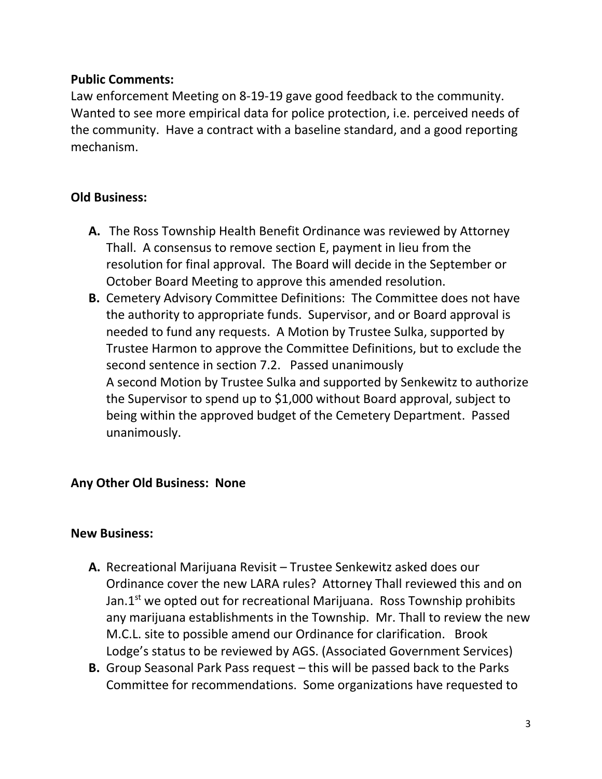#### **Public Comments:**

Law enforcement Meeting on 8-19-19 gave good feedback to the community. Wanted to see more empirical data for police protection, i.e. perceived needs of the community. Have a contract with a baseline standard, and a good reporting mechanism.

### **Old Business:**

- **A.** The Ross Township Health Benefit Ordinance was reviewed by Attorney Thall. A consensus to remove section E, payment in lieu from the resolution for final approval. The Board will decide in the September or October Board Meeting to approve this amended resolution.
- **B.** Cemetery Advisory Committee Definitions: The Committee does not have the authority to appropriate funds. Supervisor, and or Board approval is needed to fund any requests. A Motion by Trustee Sulka, supported by Trustee Harmon to approve the Committee Definitions, but to exclude the second sentence in section 7.2. Passed unanimously A second Motion by Trustee Sulka and supported by Senkewitz to authorize the Supervisor to spend up to \$1,000 without Board approval, subject to being within the approved budget of the Cemetery Department. Passed unanimously.

### **Any Other Old Business: None**

### **New Business:**

- **A.** Recreational Marijuana Revisit Trustee Senkewitz asked does our Ordinance cover the new LARA rules? Attorney Thall reviewed this and on Jan. $1<sup>st</sup>$  we opted out for recreational Marijuana. Ross Township prohibits any marijuana establishments in the Township. Mr. Thall to review the new M.C.L. site to possible amend our Ordinance for clarification. Brook Lodge's status to be reviewed by AGS. (Associated Government Services)
- **B.** Group Seasonal Park Pass request this will be passed back to the Parks Committee for recommendations. Some organizations have requested to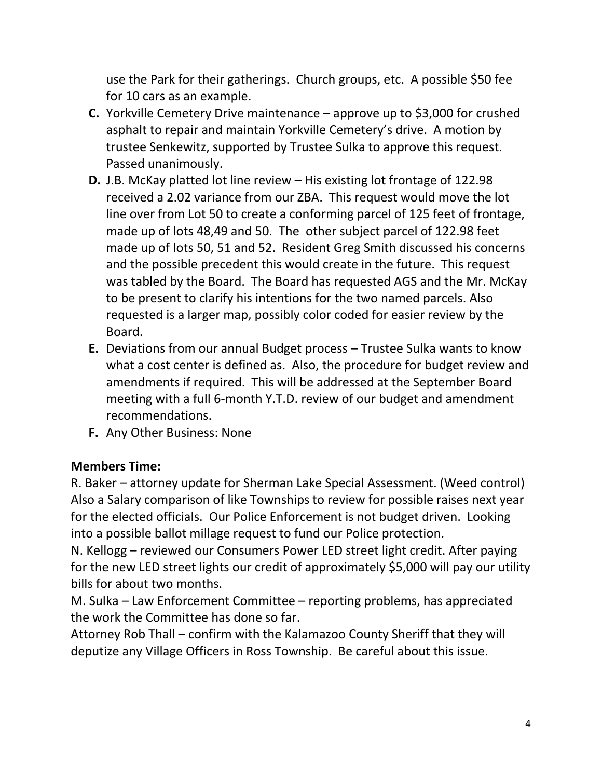use the Park for their gatherings. Church groups, etc. A possible \$50 fee for 10 cars as an example.

- **C.** Yorkville Cemetery Drive maintenance approve up to \$3,000 for crushed asphalt to repair and maintain Yorkville Cemetery's drive. A motion by trustee Senkewitz, supported by Trustee Sulka to approve this request. Passed unanimously.
- **D.** J.B. McKay platted lot line review His existing lot frontage of 122.98 received a 2.02 variance from our ZBA. This request would move the lot line over from Lot 50 to create a conforming parcel of 125 feet of frontage, made up of lots 48,49 and 50. The other subject parcel of 122.98 feet made up of lots 50, 51 and 52. Resident Greg Smith discussed his concerns and the possible precedent this would create in the future. This request was tabled by the Board. The Board has requested AGS and the Mr. McKay to be present to clarify his intentions for the two named parcels. Also requested is a larger map, possibly color coded for easier review by the Board.
- **E.** Deviations from our annual Budget process Trustee Sulka wants to know what a cost center is defined as. Also, the procedure for budget review and amendments if required. This will be addressed at the September Board meeting with a full 6-month Y.T.D. review of our budget and amendment recommendations.
- **F.** Any Other Business: None

### **Members Time:**

R. Baker – attorney update for Sherman Lake Special Assessment. (Weed control) Also a Salary comparison of like Townships to review for possible raises next year for the elected officials. Our Police Enforcement is not budget driven. Looking into a possible ballot millage request to fund our Police protection.

N. Kellogg – reviewed our Consumers Power LED street light credit. After paying for the new LED street lights our credit of approximately \$5,000 will pay our utility bills for about two months.

M. Sulka – Law Enforcement Committee – reporting problems, has appreciated the work the Committee has done so far.

Attorney Rob Thall – confirm with the Kalamazoo County Sheriff that they will deputize any Village Officers in Ross Township. Be careful about this issue.